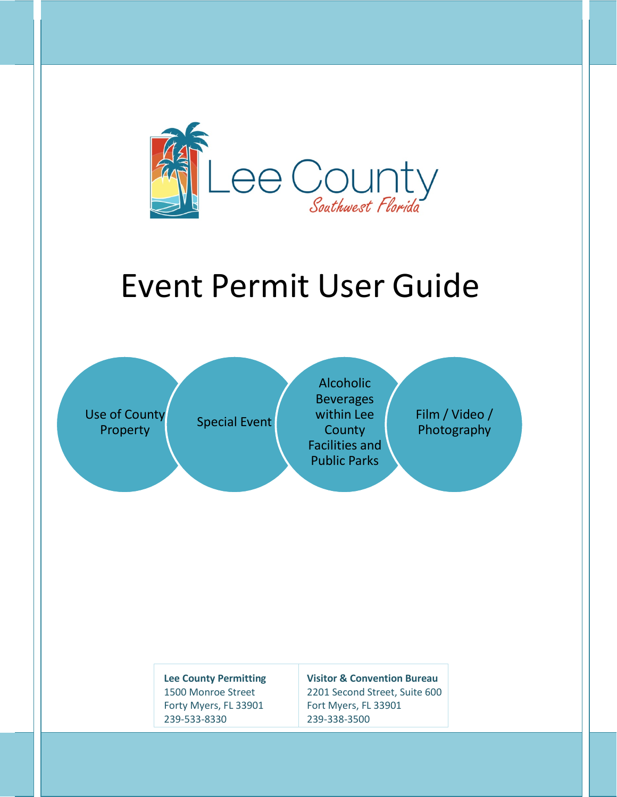

# Event Permit User Guide

Use of County

e of County<br>Property **Special Event** 

**Alcoholic Beverages** within Lee **County** Facilities and Public Parks

Film / Video / Photography

**Lee County Permitting** 1500 Monroe Street Forty Myers, FL 33901 239-533-8330

**Visitor & Convention Bureau** 2201 Second Street, Suite 600

Fort Myers, FL 33901 239-338-3500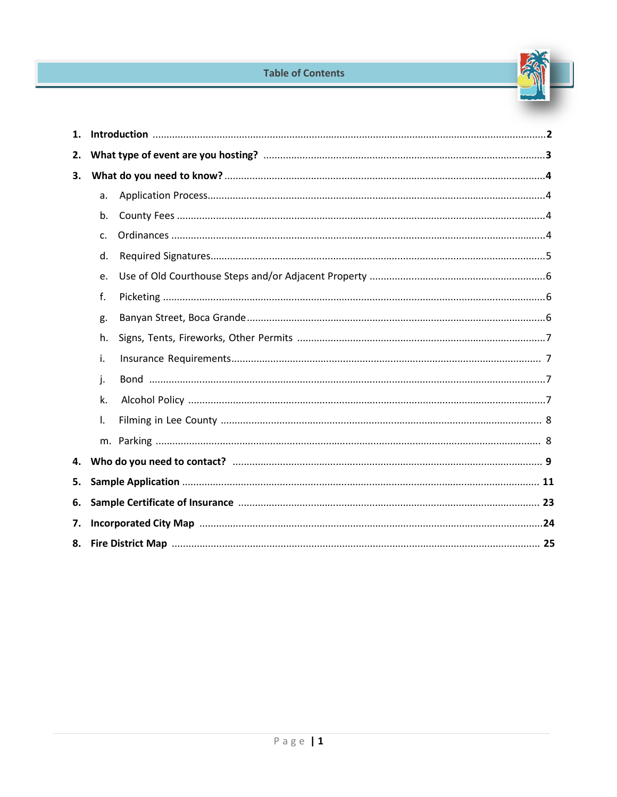#### **Table of Contents**



| 1. |                |  |  |
|----|----------------|--|--|
| 2. |                |  |  |
| 3. |                |  |  |
|    | a.             |  |  |
|    | b.             |  |  |
|    | C <sub>1</sub> |  |  |
|    | d.             |  |  |
|    | e.             |  |  |
|    | f.             |  |  |
|    | g.             |  |  |
|    | h.             |  |  |
|    | i.             |  |  |
|    | j.             |  |  |
|    | k.             |  |  |
|    | $\mathsf{L}$   |  |  |
|    |                |  |  |
| 4. |                |  |  |
| 5. |                |  |  |
| 6. |                |  |  |
| 7. |                |  |  |
| 8. |                |  |  |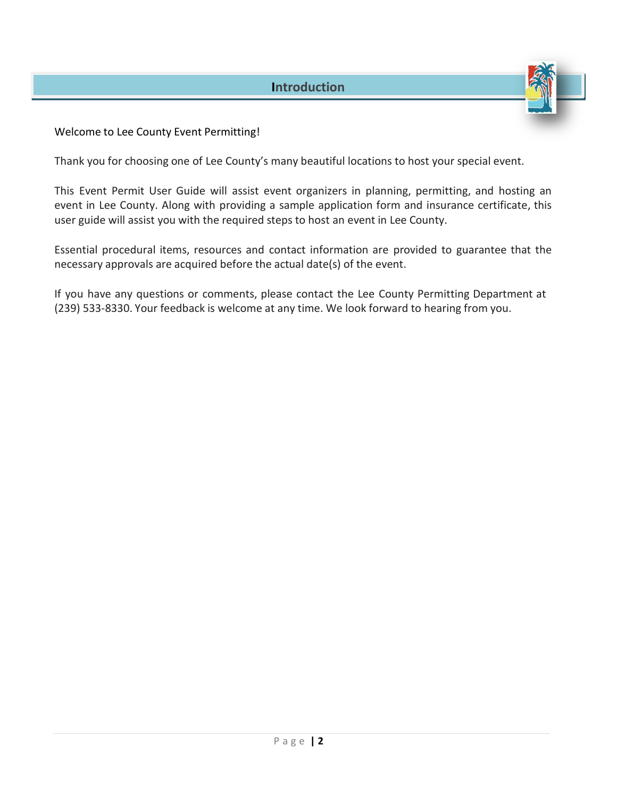#### Welcome to Lee County Event Permitting!

Thank you for choosing one of Lee County's many beautiful locations to host your special event.

This Event Permit User Guide will assist event organizers in planning, permitting, and hosting an event in Lee County. Along with providing a sample application form and insurance certificate, this user guide will assist you with the required steps to host an event in Lee County.

Essential procedural items, resources and contact information are provided to guarantee that the necessary approvals are acquired before the actual date(s) of the event.

If you have any questions or comments, please contact the Lee County Permitting Department at (239) 533-8330. Your feedback is welcome at any time. We look forward to hearing from you.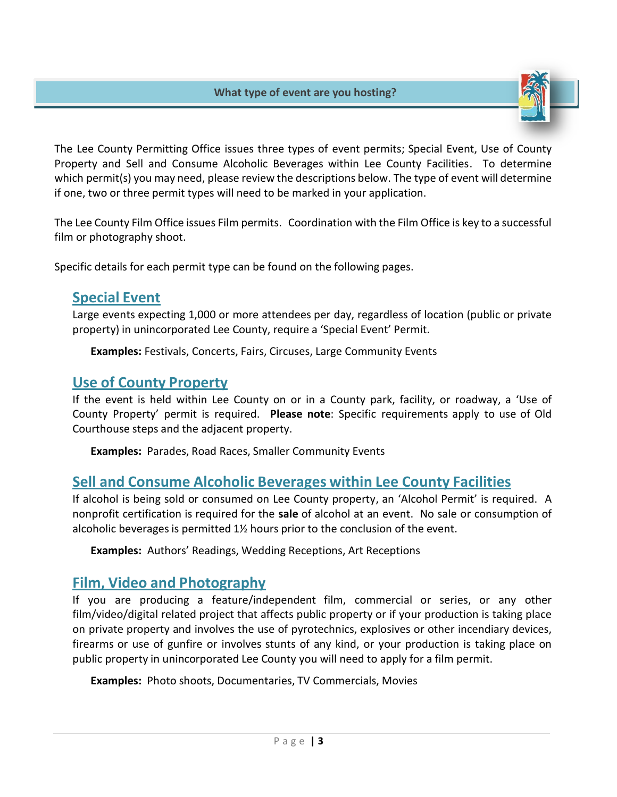

The Lee County Permitting Office issues three types of event permits; Special Event, Use of County Property and Sell and Consume Alcoholic Beverages within Lee County Facilities. To determine which permit(s) you may need, please review the descriptions below. The type of event will determine if one, two or three permit types will need to be marked in your application.

The Lee County Film Office issues Film permits. Coordination with the Film Office is key to a successful film or photography shoot.

Specific details for each permit type can be found on the following pages.

### **Special Event**

Large events expecting 1,000 or more attendees per day, regardless of location (public or private property) in unincorporated Lee County, require a 'Special Event' Permit.

**Examples:** Festivals, Concerts, Fairs, Circuses, Large Community Events

## **Use of County Property**

If the event is held within Lee County on or in a County park, facility, or roadway, a 'Use of County Property' permit is required. **Please note**: Specific requirements apply to use of Old Courthouse steps and the adjacent property.

**Examples:** Parades, Road Races, Smaller Community Events

# **Sell and Consume Alcoholic Beverages within Lee County Facilities**

If alcohol is being sold or consumed on Lee County property, an 'Alcohol Permit' is required. A nonprofit certification is required for the **sale** of alcohol at an event. No sale or consumption of alcoholic beverages is permitted  $1\frac{1}{2}$  hours prior to the conclusion of the event.

**Examples:** Authors' Readings, Wedding Receptions, Art Receptions

## **Film, Video and Photography**

If you are producing a feature/independent film, commercial or series, or any other film/video/digital related project that affects public property or if your production is taking place on private property and involves the use of pyrotechnics, explosives or other incendiary devices, firearms or use of gunfire or involves stunts of any kind, or your production is taking place on public property in unincorporated Lee County you will need to apply for a film permit.

**Examples:** Photo shoots, Documentaries, TV Commercials, Movies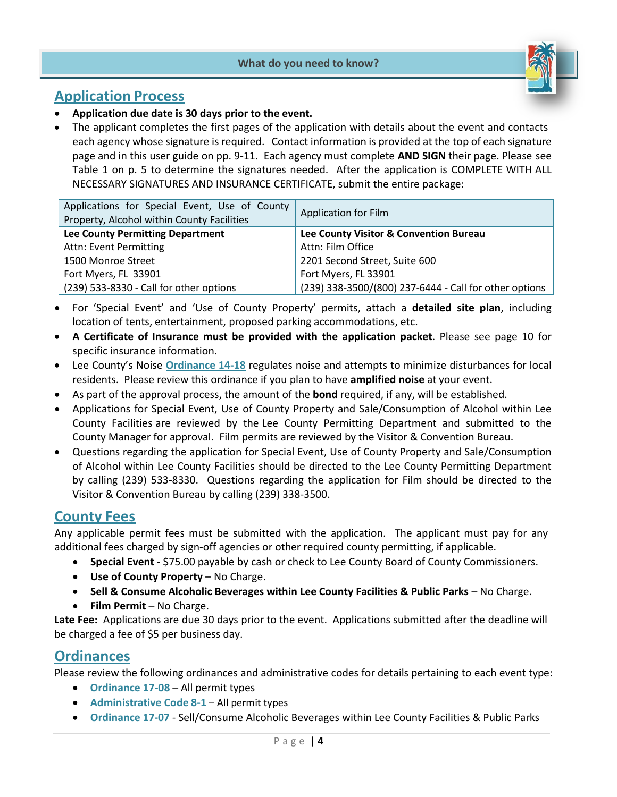#### **What do you need to know?**



#### **Application Process**

- **Application due date is 30 days prior to the event.**
- The applicant completes the first pages of the application with details about the event and contacts each agency whose signature is required. Contact information is provided at the top of each signature page and in this user guide on pp. 9-11. Each agency must complete **AND SIGN** their page. Please see Table 1 on p. 5 to determine the signatures needed. After the application is COMPLETE WITH ALL NECESSARY SIGNATURES AND INSURANCE CERTIFICATE, submit the entire package:

| Applications for Special Event, Use of County<br>Property, Alcohol within County Facilities | Application for Film                                   |  |
|---------------------------------------------------------------------------------------------|--------------------------------------------------------|--|
| <b>Lee County Permitting Department</b>                                                     | Lee County Visitor & Convention Bureau                 |  |
| Attn: Event Permitting                                                                      | Attn: Film Office                                      |  |
| 1500 Monroe Street                                                                          | 2201 Second Street, Suite 600                          |  |
| Fort Myers, FL 33901                                                                        | Fort Myers, FL 33901                                   |  |
| (239) 533-8330 - Call for other options                                                     | (239) 338-3500/(800) 237-6444 - Call for other options |  |

- For 'Special Event' and 'Use of County Property' permits, attach a **detailed site plan**, including location of tents, entertainment, proposed parking accommodations, etc.
- **A Certificate of Insurance must be provided with the application packet**. Please see page 10 for specific insurance information.
- Lee County's Noise **[Ordinance](http://www.lee-county.com/gov/BoardofCountyCommissioners/ordinances/Ordinances/14-18.pdf) 14-18** regulates noise and attempts to minimize disturbances for local residents. Please review this ordinance if you plan to have **amplified noise** at your event.
- As part of the approval process, the amount of the **bond** required, if any, will be established.
- Applications for Special Event, Use of County Property and Sale/Consumption of Alcohol within Lee County Facilities are reviewed by the Lee County Permitting Department and submitted to the County Manager for approval. Film permits are reviewed by the Visitor & Convention Bureau.
- Questions regarding the application for Special Event, Use of County Property and Sale/Consumption of Alcohol within Lee County Facilities should be directed to the Lee County Permitting Department by calling (239) 533-8330. Questions regarding the application for Film should be directed to the Visitor & Convention Bureau by calling (239) 338-3500.

#### **County Fees**

Any applicable permit fees must be submitted with the application. The applicant must pay for any additional fees charged by sign-off agencies or other required county permitting, if applicable.

- **Special Event** \$75.00 payable by cash or check to Lee County Board of County Commissioners.
- **Use of County Property**  No Charge.
- **Sell & Consume Alcoholic Beverages within Lee County Facilities & Public Parks** No Charge.
- **Film Permit** No Charge.

**Late Fee:** Applications are due 30 days prior to the event. Applications submitted after the deadline will be charged a fee of \$5 per business day.

#### **Ordinances**

Please review the following ordinances and administrative codes for details pertaining to each event type:

- **[Ordinance 17-08](https://www.leegov.com/bocc/Ordinances/17-08.pdf)** All permit types
- **[Administrative Code](http://www.leegov.com/bocc/Administrative%20Codes/AC-8-1.pdf) 8-1** All permit types
- **[Ordinance](https://www.leegov.com/bocc/Ordinances/17-07.pdf) 17-07** Sell/Consume Alcoholic Beverages within Lee County Facilities & Public Parks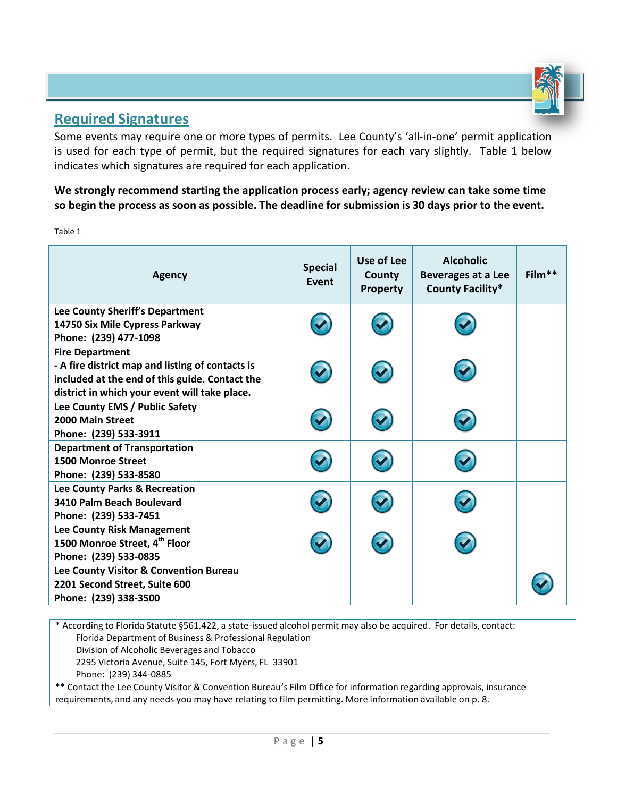

## **Required Signatures**

Some events may require one or more types of permits. Lee County's 'all-in-one' permit application is used for each type of permit, but the required signatures for each vary slightly. Table 1 below indicates which signatures are required for each application.

**We strongly recommend starting the application process early; agency review can take some time**  so begin the process as soon as possible. The deadline for submission is 30 days prior to the event.

Table 1

| <b>Agency</b>                                                                                                                                                                 | <b>Special</b><br>Event | Use of Lee<br>County<br>Property | <b>Alcoholic</b><br><b>Beverages at a Lee</b><br><b>County Facility*</b> | $Film**$ |
|-------------------------------------------------------------------------------------------------------------------------------------------------------------------------------|-------------------------|----------------------------------|--------------------------------------------------------------------------|----------|
| Lee County Sheriff's Department<br>14750 Six Mile Cypress Parkway<br>Phone: (239) 477-1098                                                                                    |                         |                                  |                                                                          |          |
| <b>Fire Department</b><br>- A fire district map and listing of contacts is<br>included at the end of this guide. Contact the<br>district in which your event will take place. |                         |                                  |                                                                          |          |
| Lee County EMS / Public Safety<br>2000 Main Street<br>Phone: (239) 533-3911                                                                                                   |                         |                                  |                                                                          |          |
| <b>Department of Transportation</b><br><b>1500 Monroe Street</b><br>Phone: (239) 533-8580                                                                                     |                         |                                  |                                                                          |          |
| Lee County Parks & Recreation<br>3410 Palm Beach Boulevard<br>Phone: (239) 533-7451                                                                                           |                         |                                  |                                                                          |          |
| Lee County Risk Management<br>1500 Monroe Street, 4 <sup>th</sup> Floor<br>Phone: (239) 533-0835                                                                              |                         |                                  |                                                                          |          |
| Lee County Visitor & Convention Bureau<br>2201 Second Street, Suite 600<br>Phone: (239) 338-3500                                                                              |                         |                                  |                                                                          |          |

\* According to Florida Statute §561.422, a state-issued alcohol permit may also be acquired. For details, contact: Florida Department of Business & Professional Regulation Division of Alcoholic Beverages and Tobacco 2295 Victoria Avenue, Suite 145, Fort Myers, FL 33901 Phone: (239) 344-0885

\*\* Contact the Lee County Visitor & Convention Bureau's Film Office for information regarding approvals, insurance requirements, and any needs you may have relating to film permitting. More information available on p. 8.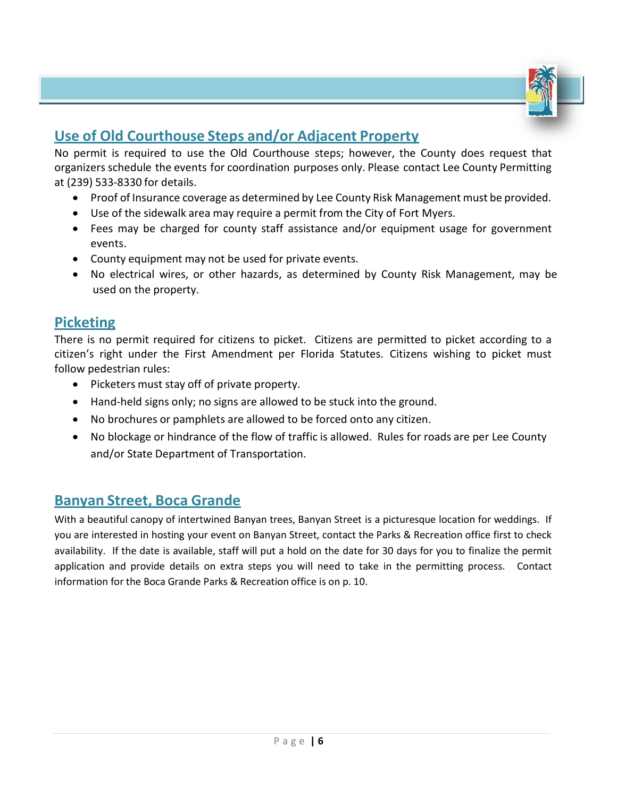

# **Use of Old Courthouse Steps and/or Adjacent Property**

No permit is required to use the Old Courthouse steps; however, the County does request that organizers schedule the events for coordination purposes only. Please contact Lee County Permitting at (239) 533-8330 for details.

- Proof of Insurance coverage as determined by Lee County Risk Management must be provided.
- Use of the sidewalk area may require a permit from the City of Fort Myers.
- Fees may be charged for county staff assistance and/or equipment usage for government events.
- County equipment may not be used for private events.
- No electrical wires, or other hazards, as determined by County Risk Management, may be used on the property.

## **Picketing**

There is no permit required for citizens to picket. Citizens are permitted to picket according to a citizen's right under the First Amendment per Florida Statutes. Citizens wishing to picket must follow pedestrian rules:

- Picketers must stay off of private property.
- Hand-held signs only; no signs are allowed to be stuck into the ground.
- No brochures or pamphlets are allowed to be forced onto any citizen.
- No blockage or hindrance of the flow of traffic is allowed. Rules for roads are per Lee County and/or State Department of Transportation.

# **Banyan Street, Boca Grande**

With a beautiful canopy of intertwined Banyan trees, Banyan Street is a picturesque location for weddings. If you are interested in hosting your event on Banyan Street, contact the Parks & Recreation office first to check availability. If the date is available, staff will put a hold on the date for 30 days for you to finalize the permit application and provide details on extra steps you will need to take in the permitting process. Contact information for the Boca Grande Parks & Recreation office is on p. 10.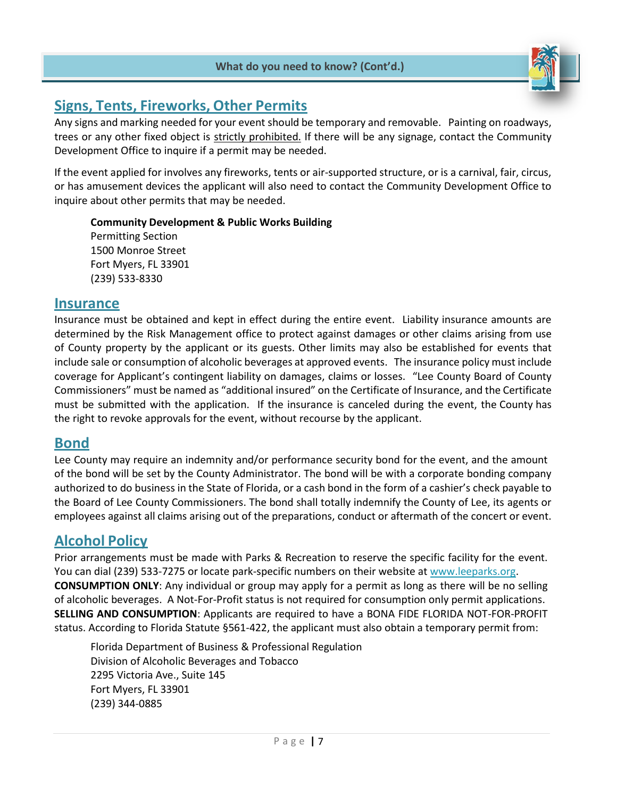

# **Signs, Tents, Fireworks, Other Permits**

Any signs and marking needed for your event should be temporary and removable. Painting on roadways, trees or any other fixed object is strictly prohibited. If there will be any signage, contact the Community Development Office to inquire if a permit may be needed.

If the event applied for involves any fireworks, tents or air-supported structure, or is a carnival, fair, circus, or has amusement devices the applicant will also need to contact the Community Development Office to inquire about other permits that may be needed.

**Community Development & Public Works Building** Permitting Section 1500 Monroe Street Fort Myers, FL 33901 (239) 533-8330

#### **Insurance**

Insurance must be obtained and kept in effect during the entire event. Liability insurance amounts are determined by the Risk Management office to protect against damages or other claims arising from use of County property by the applicant or its guests. Other limits may also be established for events that include sale or consumption of alcoholic beverages at approved events. The insurance policy must include coverage for Applicant's contingent liability on damages, claims or losses. "Lee County Board of County Commissioners" must be named as "additional insured" on the Certificate of Insurance, and the Certificate must be submitted with the application. If the insurance is canceled during the event, the County has the right to revoke approvals for the event, without recourse by the applicant.

#### **Bond**

Lee County may require an indemnity and/or performance security bond for the event, and the amount of the bond will be set by the County Administrator. The bond will be with a corporate bonding company authorized to do business in the State of Florida, or a cash bond in the form of a cashier's check payable to the Board of Lee County Commissioners. The bond shall totally indemnify the County of Lee, its agents or employees against all claims arising out of the preparations, conduct or aftermath of the concert or event.

## **Alcohol Policy**

Prior arrangements must be made with Parks & Recreation to reserve the specific facility for the event. You can dial (239) 533-7275 or locate park-specific numbers on their website at [www.leeparks.org.](http://www.leeparks.org/) **CONSUMPTION ONLY**: Any individual or group may apply for a permit as long as there will be no selling of alcoholic beverages. A Not-For-Profit status is not required for consumption only permit applications. **SELLING AND CONSUMPTION**: Applicants are required to have a BONA FIDE FLORIDA NOT-FOR-PROFIT status. According to Florida Statute §561-422, the applicant must also obtain a temporary permit from:

Florida Department of Business & Professional Regulation Division of Alcoholic Beverages and Tobacco 2295 Victoria Ave., Suite 145 Fort Myers, FL 33901 (239) 344-0885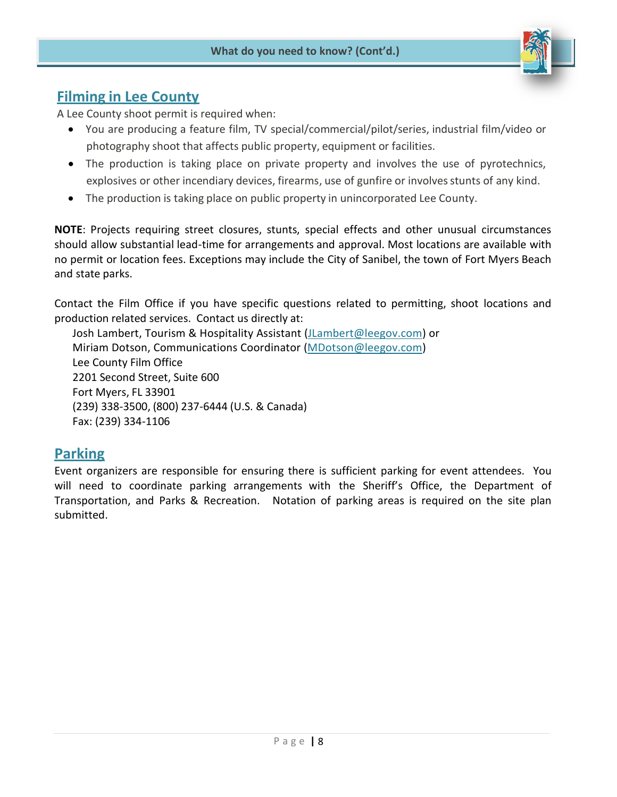

## **Filming in Lee County**

A Lee County shoot permit is required when:

- You are producing a feature film, TV special/commercial/pilot/series, industrial film/video or photography shoot that affects public property, equipment or facilities.
- The production is taking place on private property and involves the use of pyrotechnics, explosives or other incendiary devices, firearms, use of gunfire or involves stunts of any kind.
- The production is taking place on public property in unincorporated Lee County.

**NOTE**: Projects requiring street closures, stunts, special effects and other unusual circumstances should allow substantial lead-time for arrangements and approval. Most locations are available with no permit or location fees. Exceptions may include the City of Sanibel, the town of Fort Myers Beach and state parks.

Contact the Film Office if you have specific questions related to permitting, shoot locations and production related services. Contact us directly at:

Josh Lambert, Tourism & Hospitality Assistant [\(JLambert@leegov.com\)](mailto:JLambert@leegov.com) or Miriam Dotson, Communications Coordinator [\(MDotson@leegov.com\)](mailto:MDotson@leegov.com) Lee County Film Office 2201 Second Street, Suite 600 Fort Myers, FL 33901 (239) 338-3500, (800) 237-6444 (U.S. & Canada) Fax: (239) 334-1106

#### **Parking**

Event organizers are responsible for ensuring there is sufficient parking for event attendees. You will need to coordinate parking arrangements with the Sheriff's Office, the Department of Transportation, and Parks & Recreation. Notation of parking areas is required on the site plan submitted.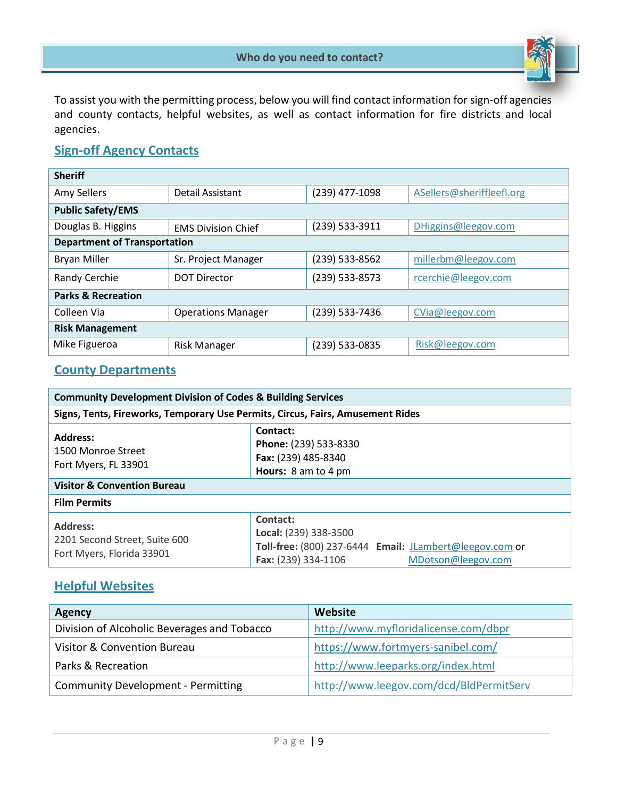

To assist you with the permitting process, below you will find contact information for sign-off agencies and county contacts, helpful websites, as well as contact information for fire districts and local agencies.

#### **Sign-off Agency Contacts**

| <b>Sheriff</b>                      |                           |                |                           |  |  |
|-------------------------------------|---------------------------|----------------|---------------------------|--|--|
| Amy Sellers                         | Detail Assistant          | (239) 477-1098 | ASellers@sheriffleefl.org |  |  |
| <b>Public Safety/EMS</b>            |                           |                |                           |  |  |
| Douglas B. Higgins                  | <b>EMS Division Chief</b> | (239) 533-3911 | DHiggins@leegov.com       |  |  |
| <b>Department of Transportation</b> |                           |                |                           |  |  |
| <b>Bryan Miller</b>                 | Sr. Project Manager       | (239) 533-8562 | millerbm@leegov.com       |  |  |
| Randy Cerchie                       | <b>DOT Director</b>       | (239) 533-8573 | rcerchie@leegov.com       |  |  |
| <b>Parks &amp; Recreation</b>       |                           |                |                           |  |  |
| Colleen Via                         | <b>Operations Manager</b> | (239) 533-7436 | CVia@leegov.com           |  |  |
| <b>Risk Management</b>              |                           |                |                           |  |  |
| Mike Figueroa                       | <b>Risk Manager</b>       | (239) 533-0835 | Risk@leegov.com           |  |  |

#### **County Departments**

| <b>Community Development Division of Codes &amp; Building Services</b>                                                                                                                     |                                                                                                                                           |  |  |
|--------------------------------------------------------------------------------------------------------------------------------------------------------------------------------------------|-------------------------------------------------------------------------------------------------------------------------------------------|--|--|
| Signs, Tents, Fireworks, Temporary Use Permits, Circus, Fairs, Amusement Rides                                                                                                             |                                                                                                                                           |  |  |
| Contact:<br><b>Address:</b><br>Phone: (239) 533-8330<br>1500 Monroe Street<br>Fax: (239) 485-8340<br>Fort Myers, FL 33901<br>Hours: 8 am to 4 pm<br><b>Visitor &amp; Convention Bureau</b> |                                                                                                                                           |  |  |
| <b>Film Permits</b>                                                                                                                                                                        |                                                                                                                                           |  |  |
| <b>Address:</b><br>2201 Second Street, Suite 600<br>Fort Myers, Florida 33901                                                                                                              | Contact:<br>Local: (239) 338-3500<br>Toll-free: (800) 237-6444 Email: JLambert@leegov.com or<br>Fax: (239) 334-1106<br>MDotson@leegov.com |  |  |

#### **Helpful Websites**

| <b>Agency</b>                               | Website                                 |  |
|---------------------------------------------|-----------------------------------------|--|
| Division of Alcoholic Beverages and Tobacco | http://www.myfloridalicense.com/dbpr    |  |
| Visitor & Convention Bureau                 | https://www.fortmyers-sanibel.com/      |  |
| Parks & Recreation                          | http://www.leeparks.org/index.html      |  |
| <b>Community Development - Permitting</b>   | http://www.leegov.com/dcd/BldPermitServ |  |